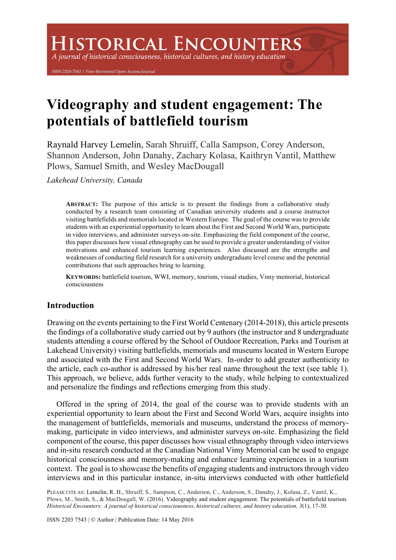A journal of historical consciousness, historical cultures, and history education

ISSN 2203-7543 | Peer-Reviewed Open Access Journal

# **Videography and student engagement: The potentials of battlefield tourism**

Raynald Harvey Lemelin, Sarah Shruiff, Calla Sampson, Corey Anderson, Shannon Anderson, John Danahy, Zachary Kolasa, Kaithryn Vantil, Matthew Plows, Samuel Smith, and Wesley MacDougall

*Lakehead University, Canada*

**ABSTRACT:** The purpose of this article is to present the findings from a collaborative study conducted by a research team consisting of Canadian university students and a course instructor visiting battlefields and memorials located in Western Europe. The goal of the course was to provide students with an experiential opportunity to learn about the First and Second World Wars, participate in video interviews, and administer surveys on-site. Emphasizing the field component of the course, this paper discusses how visual ethnography can be used to provide a greater understanding of visitor motivations and enhanced tourism learning experiences. Also discussed are the strengths and weaknesses of conducting field research for a university undergraduate level course and the potential contributions that such approaches bring to learning.

**KEYWORDS:** battlefield tourism, WWI, memory, tourism, visual studies, Vimy memorial, historical consciousness

# **Introduction**

Drawing on the events pertaining to the First World Centenary (2014-2018), this article presents the findings of a collaborative study carried out by 9 authors (the instructor and 8 undergraduate students attending a course offered by the School of Outdoor Recreation, Parks and Tourism at Lakehead University) visiting battlefields, memorials and museums located in Western Europe and associated with the First and Second World Wars. In-order to add greater authenticity to the article, each co-author is addressed by his/her real name throughout the text (see table 1). This approach, we believe, adds further veracity to the study, while helping to contextualized and personalize the findings and reflections emerging from this study.

Offered in the spring of 2014, the goal of the course was to provide students with an experiential opportunity to learn about the First and Second World Wars, acquire insights into the management of battlefields, memorials and museums, understand the process of memorymaking, participate in video interviews, and administer surveys on-site. Emphasizing the field component of the course, this paper discusses how visual ethnography through video interviews and in-situ research conducted at the Canadian National Vimy Memorial can be used to engage historical consciousness and memory-making and enhance learning experiences in a tourism context. The goal is to showcase the benefits of engaging students and instructors through video interviews and in this particular instance, in-situ interviews conducted with other battlefield

PLEASE CITE AS: Lemelin, R. H., Shruiff, S., Sampson, C., Anderson, C., Anderson, S., Danahy, J., Kolasa, Z., Vantil, K., Plows, M., Smith, S., & MacDougall, W. (2016). Videography and student engagement: The potentials of battlefield tourism. *Historical Encounters: A journal of historical consciousness, historical cultures, and history education, 3*(1), 17-30.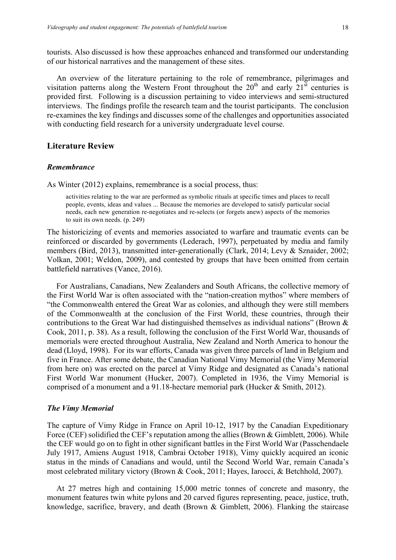tourists. Also discussed is how these approaches enhanced and transformed our understanding of our historical narratives and the management of these sites.

An overview of the literature pertaining to the role of remembrance, pilgrimages and visitation patterns along the Western Front throughout the  $20<sup>th</sup>$  and early  $21<sup>st</sup>$  centuries is provided first. Following is a discussion pertaining to video interviews and semi-structured interviews. The findings profile the research team and the tourist participants. The conclusion re-examines the key findings and discusses some of the challenges and opportunities associated with conducting field research for a university undergraduate level course.

#### **Literature Review**

#### *Remembrance*

As Winter (2012) explains, remembrance is a social process, thus:

activities relating to the war are performed as symbolic rituals at specific times and places to recall people, events, ideas and values ... Because the memories are developed to satisfy particular social needs, each new generation re-negotiates and re-selects (or forgets anew) aspects of the memories to suit its own needs. (p. 249)

The historicizing of events and memories associated to warfare and traumatic events can be reinforced or discarded by governments (Lederach, 1997), perpetuated by media and family members (Bird, 2013), transmitted inter-generationally (Clark, 2014; Levy & Sznaider, 2002; Volkan, 2001; Weldon, 2009), and contested by groups that have been omitted from certain battlefield narratives (Vance, 2016).

For Australians, Canadians, New Zealanders and South Africans, the collective memory of the First World War is often associated with the "nation-creation mythos" where members of "the Commonwealth entered the Great War as colonies, and although they were still members of the Commonwealth at the conclusion of the First World, these countries, through their contributions to the Great War had distinguished themselves as individual nations" (Brown & Cook, 2011, p. 38). As a result, following the conclusion of the First World War, thousands of memorials were erected throughout Australia, New Zealand and North America to honour the dead (Lloyd, 1998). For its war efforts, Canada was given three parcels of land in Belgium and five in France. After some debate, the Canadian National Vimy Memorial (the Vimy Memorial from here on) was erected on the parcel at Vimy Ridge and designated as Canada's national First World War monument (Hucker, 2007). Completed in 1936, the Vimy Memorial is comprised of a monument and a 91.18-hectare memorial park (Hucker & Smith, 2012).

#### *The Vimy Memorial*

The capture of Vimy Ridge in France on April 10-12, 1917 by the Canadian Expeditionary Force (CEF) solidified the CEF's reputation among the allies (Brown & Gimblett, 2006). While the CEF would go on to fight in other significant battles in the First World War (Passchendaele July 1917, Amiens August 1918, Cambrai October 1918), Vimy quickly acquired an iconic status in the minds of Canadians and would, until the Second World War, remain Canada's most celebrated military victory (Brown & Cook, 2011; Hayes, Iarocci, & Betchhold, 2007).

At 27 metres high and containing 15,000 metric tonnes of concrete and masonry, the monument features twin white pylons and 20 carved figures representing, peace, justice, truth, knowledge, sacrifice, bravery, and death (Brown & Gimblett, 2006). Flanking the staircase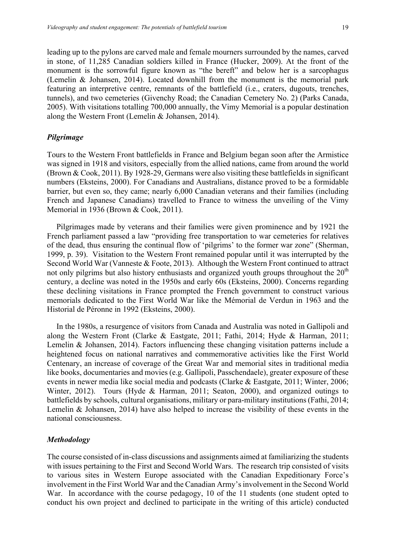leading up to the pylons are carved male and female mourners surrounded by the names, carved in stone, of 11,285 Canadian soldiers killed in France (Hucker, 2009). At the front of the monument is the sorrowful figure known as "the bereft" and below her is a sarcophagus (Lemelin & Johansen, 2014). Located downhill from the monument is the memorial park featuring an interpretive centre, remnants of the battlefield (i.e., craters, dugouts, trenches, tunnels), and two cemeteries (Givenchy Road; the Canadian Cemetery No. 2) (Parks Canada, 2005). With visitations totalling 700,000 annually, the Vimy Memorial is a popular destination along the Western Front (Lemelin & Johansen, 2014).

#### *Pilgrimage*

Tours to the Western Front battlefields in France and Belgium began soon after the Armistice was signed in 1918 and visitors, especially from the allied nations, came from around the world (Brown & Cook, 2011). By 1928-29, Germans were also visiting these battlefields in significant numbers (Eksteins, 2000). For Canadians and Australians, distance proved to be a formidable barrier, but even so, they came; nearly 6,000 Canadian veterans and their families (including French and Japanese Canadians) travelled to France to witness the unveiling of the Vimy Memorial in 1936 (Brown & Cook, 2011).

Pilgrimages made by veterans and their families were given prominence and by 1921 the French parliament passed a law "providing free transportation to war cemeteries for relatives of the dead, thus ensuring the continual flow of 'pilgrims' to the former war zone" (Sherman, 1999, p. 39). Visitation to the Western Front remained popular until it was interrupted by the Second World War (Vanneste & Foote, 2013). Although the Western Front continued to attract not only pilgrims but also history enthusiasts and organized youth groups throughout the  $20<sup>th</sup>$ century, a decline was noted in the 1950s and early 60s (Eksteins, 2000). Concerns regarding these declining visitations in France prompted the French government to construct various memorials dedicated to the First World War like the Mémorial de Verdun in 1963 and the Historial de Péronne in 1992 (Eksteins, 2000).

In the 1980s, a resurgence of visitors from Canada and Australia was noted in Gallipoli and along the Western Front (Clarke & Eastgate, 2011; Fathi, 2014; Hyde & Harman, 2011; Lemelin & Johansen, 2014). Factors influencing these changing visitation patterns include a heightened focus on national narratives and commemorative activities like the First World Centenary, an increase of coverage of the Great War and memorial sites in traditional media like books, documentaries and movies (e.g. Gallipoli, Passchendaele), greater exposure of these events in newer media like social media and podcasts (Clarke & Eastgate, 2011; Winter, 2006; Winter, 2012). Tours (Hyde & Harman, 2011; Seaton, 2000), and organized outings to battlefields by schools, cultural organisations, military or para-military institutions (Fathi, 2014; Lemelin & Johansen, 2014) have also helped to increase the visibility of these events in the national consciousness.

#### *Methodology*

The course consisted of in-class discussions and assignments aimed at familiarizing the students with issues pertaining to the First and Second World Wars. The research trip consisted of visits to various sites in Western Europe associated with the Canadian Expeditionary Force's involvement in the First World War and the Canadian Army's involvement in the Second World War. In accordance with the course pedagogy, 10 of the 11 students (one student opted to conduct his own project and declined to participate in the writing of this article) conducted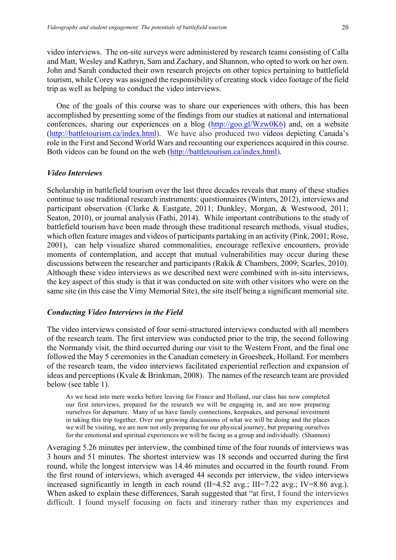video interviews. The on-site surveys were administered by research teams consisting of Calla and Matt, Wesley and Kathryn, Sam and Zachary, and Shannon, who opted to work on her own. John and Sarah conducted their own research projects on other topics pertaining to battlefield tourism, while Corey was assigned the responsibility of creating stock video footage of the field trip as well as helping to conduct the video interviews.

One of the goals of this course was to share our experiences with others, this has been accomplished by presenting some of the findings from our studies at national and international conferences, sharing our experiences on a blog  $(http://goo.gl/Wzw0K6)$  and, on a website (http://battletourism.ca/index.html). We have also produced two videos depicting Canada's role in the First and Second World Wars and recounting our experiences acquired in this course. Both videos can be found on the web (http://battletourism.ca/index.html).

#### *Video Interviews*

Scholarship in battlefield tourism over the last three decades reveals that many of these studies continue to use traditional research instruments: questionnaires (Winters, 2012), interviews and participant observation (Clarke & Eastgate, 2011; Dunkley, Morgan, & Westwood, 2011; Seaton, 2010), or journal analysis (Fathi, 2014). While important contributions to the study of battlefield tourism have been made through these traditional research methods, visual studies, which often feature images and videos of participants partaking in an activity (Pink, 2001; Rose, 2001), can help visualize shared commonalities, encourage reflexive encounters, provide moments of contemplation, and accept that mutual vulnerabilities may occur during these discussions between the researcher and participants (Rakik & Chambers, 2009; Scarles, 2010). Although these video interviews as we described next were combined with in-situ interviews, the key aspect of this study is that it was conducted on site with other visitors who were on the same site (in this case the Vimy Memorial Site), the site itself being a significant memorial site.

#### *Conducting Video Interviews in the Field*

The video interviews consisted of four semi-structured interviews conducted with all members of the research team. The first interview was conducted prior to the trip, the second following the Normandy visit, the third occurred during our visit to the Western Front, and the final one followed the May 5 ceremonies in the Canadian cemetery in Groesbeek, Holland. For members of the research team, the video interviews facilitated experiential reflection and expansion of ideas and perceptions (Kvale & Brinkman, 2008). The names of the research team are provided below (see table 1).

As we head into mere weeks before leaving for France and Holland, our class has now completed our first interviews, prepared for the research we will be engaging in, and are now preparing ourselves for departure. Many of us have family connections, keepsakes, and personal investment in taking this trip together. Over our growing discussions of what we will be doing and the places we will be visiting, we are now not only preparing for our physical journey, but preparing ourselves for the emotional and spiritual experiences we will be facing as a group and individually. (Shannon)

Averaging 5.26 minutes per interview, the combined time of the four rounds of interviews was 3 hours and 51 minutes. The shortest interview was 18 seconds and occurred during the first round, while the longest interview was 14.46 minutes and occurred in the fourth round. From the first round of interviews, which averaged 44 seconds per interview, the video interviews increased significantly in length in each round  $(II=4.52 \text{ avg.}; III=7.22 \text{ avg.}; IV=8.86 \text{ avg.}).$ When asked to explain these differences, Sarah suggested that "at first, I found the interviews difficult. I found myself focusing on facts and itinerary rather than my experiences and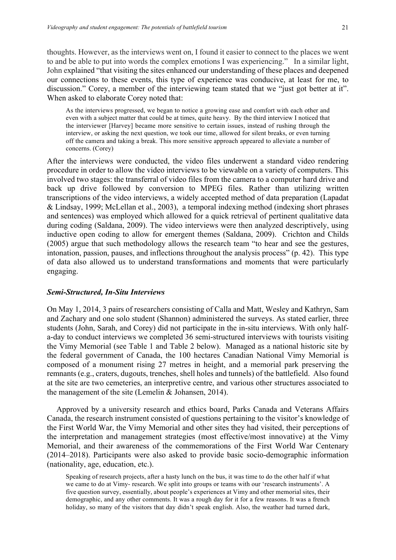thoughts. However, as the interviews went on, I found it easier to connect to the places we went to and be able to put into words the complex emotions I was experiencing." In a similar light, John explained "that visiting the sites enhanced our understanding of these places and deepened our connections to these events, this type of experience was conducive, at least for me, to discussion." Corey, a member of the interviewing team stated that we "just got better at it". When asked to elaborate Corey noted that:

As the interviews progressed, we began to notice a growing ease and comfort with each other and even with a subject matter that could be at times, quite heavy. By the third interview I noticed that the interviewer [Harvey] became more sensitive to certain issues, instead of rushing through the interview, or asking the next question, we took our time, allowed for silent breaks, or even turning off the camera and taking a break. This more sensitive approach appeared to alleviate a number of concerns. (Corey)

After the interviews were conducted, the video files underwent a standard video rendering procedure in order to allow the video interviews to be viewable on a variety of computers. This involved two stages: the transferral of video files from the camera to a computer hard drive and back up drive followed by conversion to MPEG files. Rather than utilizing written transcriptions of the video interviews, a widely accepted method of data preparation (Lapadat & Lindsay, 1999; McLellan et al., 2003), a temporal indexing method (indexing short phrases and sentences) was employed which allowed for a quick retrieval of pertinent qualitative data during coding (Saldana, 2009). The video interviews were then analyzed descriptively, using inductive open coding to allow for emergent themes (Saldana, 2009). Crichton and Childs (2005) argue that such methodology allows the research team "to hear and see the gestures, intonation, passion, pauses, and inflections throughout the analysis process" (p. 42). This type of data also allowed us to understand transformations and moments that were particularly engaging.

#### *Semi-Structured, In-Situ Interviews*

On May 1, 2014, 3 pairs of researchers consisting of Calla and Matt, Wesley and Kathryn, Sam and Zachary and one solo student (Shannon) administered the surveys. As stated earlier, three students (John, Sarah, and Corey) did not participate in the in-situ interviews. With only halfa-day to conduct interviews we completed 36 semi-structured interviews with tourists visiting the Vimy Memorial (see Table 1 and Table 2 below). Managed as a national historic site by the federal government of Canada, the 100 hectares Canadian National Vimy Memorial is composed of a monument rising 27 metres in height, and a memorial park preserving the remnants (e.g., craters, dugouts, trenches, shell holes and tunnels) of the battlefield. Also found at the site are two cemeteries, an interpretive centre, and various other structures associated to the management of the site (Lemelin & Johansen, 2014).

Approved by a university research and ethics board, Parks Canada and Veterans Affairs Canada, the research instrument consisted of questions pertaining to the visitor's knowledge of the First World War, the Vimy Memorial and other sites they had visited, their perceptions of the interpretation and management strategies (most effective/most innovative) at the Vimy Memorial, and their awareness of the commemorations of the First World War Centenary (2014–2018). Participants were also asked to provide basic socio-demographic information (nationality, age, education, etc.).

Speaking of research projects, after a hasty lunch on the bus, it was time to do the other half if what we came to do at Vimy- research. We split into groups or teams with our 'research instruments'. A five question survey, essentially, about people's experiences at Vimy and other memorial sites, their demographic, and any other comments. It was a rough day for it for a few reasons. It was a french holiday, so many of the visitors that day didn't speak english. Also, the weather had turned dark,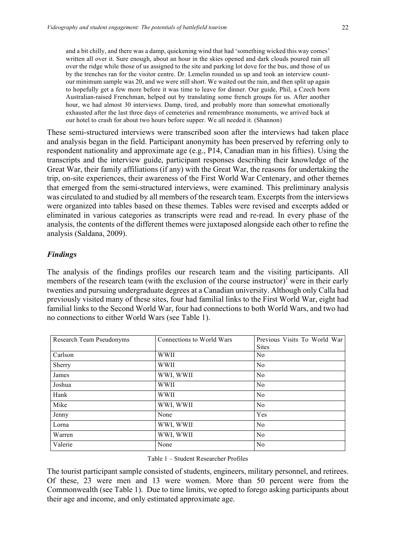and a bit chilly, and there was a damp, quickening wind that had 'something wicked this way comes' written all over it. Sure enough, about an hour in the skies opened and dark clouds poured rain all over the ridge while those of us assigned to the site and parking lot dove for the bus, and those of us by the trenches ran for the visitor centre. Dr. Lemelin rounded us up and took an interview countour minimum sample was 20, and we were still short. We waited out the rain, and then split up again to hopefully get a few more before it was time to leave for dinner. Our guide, Phil, a Czech born Australian-raised Frenchman, helped out by translating some french groups for us. After another hour, we had almost 30 interviews. Damp, tired, and probably more than somewhat emotionally exhausted after the last three days of cemeteries and remembrance monuments, we arrived back at our hotel to crash for about two hours before supper. We all needed it. (Shannon)

These semi-structured interviews were transcribed soon after the interviews had taken place and analysis began in the field. Participant anonymity has been preserved by referring only to respondent nationality and approximate age (e.g., P14, Canadian man in his fifties). Using the transcripts and the interview guide, participant responses describing their knowledge of the Great War, their family affiliations (if any) with the Great War, the reasons for undertaking the trip, on-site experiences, their awareness of the First World War Centenary, and other themes that emerged from the semi-structured interviews, were examined. This preliminary analysis was circulated to and studied by all members of the research team. Excerpts from the interviews were organized into tables based on these themes. Tables were revised and excerpts added or eliminated in various categories as transcripts were read and re-read. In every phase of the analysis, the contents of the different themes were juxtaposed alongside each other to refine the analysis (Saldana, 2009).

#### *Findings*

The analysis of the findings profiles our research team and the visiting participants. All members of the research team (with the exclusion of the course instructor)<sup>1</sup> were in their early twenties and pursuing undergraduate degrees at a Canadian university. Although only Calla had previously visited many of these sites, four had familial links to the First World War, eight had familial links to the Second World War, four had connections to both World Wars, and two had no connections to either World Wars (see Table 1).

| Research Team Pseudonyms | Connections to World Wars | Previous Visits To World War<br><b>Sites</b> |  |  |
|--------------------------|---------------------------|----------------------------------------------|--|--|
| Carlson                  | <b>WWII</b>               | No                                           |  |  |
| Sherry                   | <b>WWII</b>               | $\rm No$                                     |  |  |
| James                    | WWI, WWII                 | $\rm No$                                     |  |  |
| Joshua                   | <b>WWII</b>               | N <sub>0</sub>                               |  |  |
| Hank                     | <b>WWII</b>               | N <sub>0</sub>                               |  |  |
| Mike                     | WWI, WWII                 | $\rm No$                                     |  |  |
| Jenny                    | None                      | Yes                                          |  |  |
| Lorna                    | WWI, WWII                 | No                                           |  |  |
| Warren                   | WWI, WWII                 | $\rm No$                                     |  |  |
| Valerie                  | None                      | N <sub>0</sub>                               |  |  |

Table 1 – Student Researcher Profiles

The tourist participant sample consisted of students, engineers, military personnel, and retirees. Of these, 23 were men and 13 were women. More than 50 percent were from the Commonwealth (see Table 1). Due to time limits, we opted to forego asking participants about their age and income, and only estimated approximate age.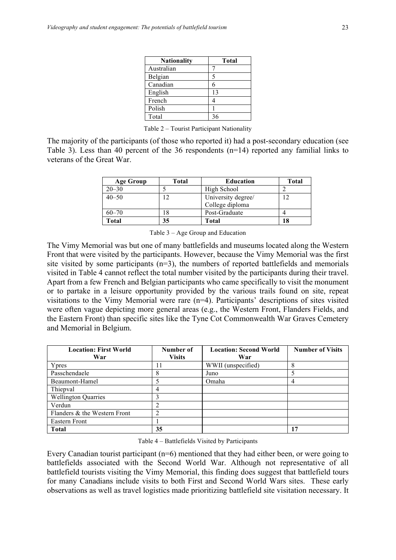| <b>Nationality</b> | Total |
|--------------------|-------|
| Australian         |       |
| Belgian            | 5     |
| Canadian           | 6     |
| English            | 13    |
| French             | 4     |
| Polish             |       |
| Total              | 36    |

Table 2 – Tourist Participant Nationality

The majority of the participants (of those who reported it) had a post-secondary education (see Table 3). Less than 40 percent of the 36 respondents (n=14) reported any familial links to veterans of the Great War.

| <b>Age Group</b> | Total | Education          | Total |
|------------------|-------|--------------------|-------|
| $20 - 30$        |       | High School        |       |
| $40 - 50$        |       | University degree/ | 12    |
|                  |       | College diploma    |       |
| $60 - 70$        |       | Post-Graduate      |       |
| Total            | 35    | Total              | 18    |

Table 3 – Age Group and Education

The Vimy Memorial was but one of many battlefields and museums located along the Western Front that were visited by the participants. However, because the Vimy Memorial was the first site visited by some participants (n=3), the numbers of reported battlefields and memorials visited in Table 4 cannot reflect the total number visited by the participants during their travel. Apart from a few French and Belgian participants who came specifically to visit the monument or to partake in a leisure opportunity provided by the various trails found on site, repeat visitations to the Vimy Memorial were rare (n=4). Participants' descriptions of sites visited were often vague depicting more general areas (e.g., the Western Front, Flanders Fields, and the Eastern Front) than specific sites like the Tyne Cot Commonwealth War Graves Cemetery and Memorial in Belgium.

| <b>Location: First World</b> | Number of     | <b>Location: Second World</b> | <b>Number of Visits</b> |
|------------------------------|---------------|-------------------------------|-------------------------|
| War                          | <b>Visits</b> | War                           |                         |
| Ypres                        |               | WWII (unspecified)            | Ω                       |
| Passchendaele                | δ             | Juno                          |                         |
| Beaumont-Hamel               |               | Omaha                         | 4                       |
| Thiepval                     |               |                               |                         |
| <b>Wellington Quarries</b>   |               |                               |                         |
| Verdun                       |               |                               |                         |
| Flanders & the Western Front |               |                               |                         |
| Eastern Front                |               |                               |                         |
| <b>Total</b>                 | 35            |                               | 17                      |

Table 4 – Battlefields Visited by Participants

Every Canadian tourist participant (n=6) mentioned that they had either been, or were going to battlefields associated with the Second World War. Although not representative of all battlefield tourists visiting the Vimy Memorial, this finding does suggest that battlefield tours for many Canadians include visits to both First and Second World Wars sites. These early observations as well as travel logistics made prioritizing battlefield site visitation necessary. It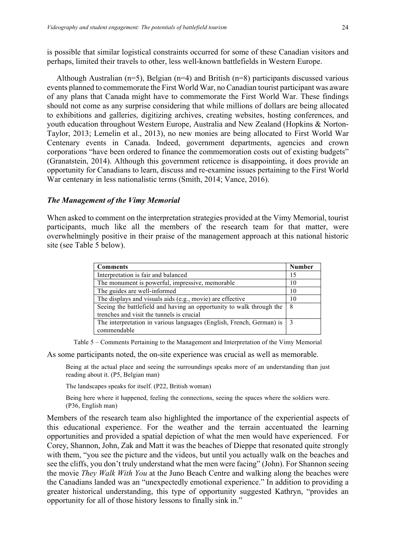is possible that similar logistical constraints occurred for some of these Canadian visitors and perhaps, limited their travels to other, less well-known battlefields in Western Europe.

Although Australian ( $n=5$ ), Belgian ( $n=4$ ) and British ( $n=8$ ) participants discussed various events planned to commemorate the First World War, no Canadian tourist participant was aware of any plans that Canada might have to commemorate the First World War. These findings should not come as any surprise considering that while millions of dollars are being allocated to exhibitions and galleries, digitizing archives, creating websites, hosting conferences, and youth education throughout Western Europe, Australia and New Zealand (Hopkins & Norton-Taylor, 2013; Lemelin et al., 2013), no new monies are being allocated to First World War Centenary events in Canada. Indeed, government departments, agencies and crown corporations "have been ordered to finance the commemoration costs out of existing budgets" (Granatstein, 2014). Although this government reticence is disappointing, it does provide an opportunity for Canadians to learn, discuss and re-examine issues pertaining to the First World War centenary in less nationalistic terms (Smith, 2014; Vance, 2016).

#### *The Management of the Vimy Memorial*

When asked to comment on the interpretation strategies provided at the Vimy Memorial, tourist participants, much like all the members of the research team for that matter, were overwhelmingly positive in their praise of the management approach at this national historic site (see Table 5 below).

| <b>Comments</b>                                                      | <b>Number</b> |
|----------------------------------------------------------------------|---------------|
| Interpretation is fair and balanced                                  | 15            |
| The monument is powerful, impressive, memorable                      | 10            |
| The guides are well-informed                                         | 10            |
| The displays and visuals aids (e.g., movie) are effective            | 10            |
| Seeing the battlefield and having an opportunity to walk through the | -8            |
| trenches and visit the tunnels is crucial                            |               |
| The interpretation in various languages (English, French, German) is |               |
| commendable                                                          |               |

Table 5 – Comments Pertaining to the Management and Interpretation of the Vimy Memorial

As some participants noted, the on-site experience was crucial as well as memorable.

Being at the actual place and seeing the surroundings speaks more of an understanding than just reading about it. (P5, Belgian man)

The landscapes speaks for itself. (P22, British woman)

Being here where it happened, feeling the connections, seeing the spaces where the soldiers were. (P36, English man)

Members of the research team also highlighted the importance of the experiential aspects of this educational experience. For the weather and the terrain accentuated the learning opportunities and provided a spatial depiction of what the men would have experienced. For Corey, Shannon, John, Zak and Matt it was the beaches of Dieppe that resonated quite strongly with them, "you see the picture and the videos, but until you actually walk on the beaches and see the cliffs, you don't truly understand what the men were facing" (John). For Shannon seeing the movie *They Walk With You* at the Juno Beach Centre and walking along the beaches were the Canadians landed was an "unexpectedly emotional experience." In addition to providing a greater historical understanding, this type of opportunity suggested Kathryn, "provides an opportunity for all of those history lessons to finally sink in."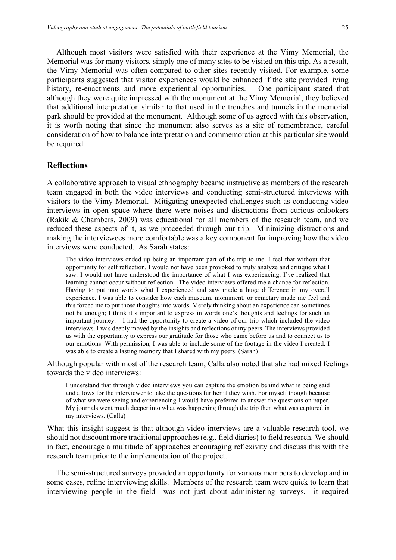Although most visitors were satisfied with their experience at the Vimy Memorial, the Memorial was for many visitors, simply one of many sites to be visited on this trip. As a result, the Vimy Memorial was often compared to other sites recently visited. For example, some participants suggested that visitor experiences would be enhanced if the site provided living history, re-enactments and more experiential opportunities. One participant stated that although they were quite impressed with the monument at the Vimy Memorial, they believed that additional interpretation similar to that used in the trenches and tunnels in the memorial park should be provided at the monument. Although some of us agreed with this observation, it is worth noting that since the monument also serves as a site of remembrance, careful consideration of how to balance interpretation and commemoration at this particular site would be required.

## **Reflections**

A collaborative approach to visual ethnography became instructive as members of the research team engaged in both the video interviews and conducting semi-structured interviews with visitors to the Vimy Memorial. Mitigating unexpected challenges such as conducting video interviews in open space where there were noises and distractions from curious onlookers (Rakik & Chambers, 2009) was educational for all members of the research team, and we reduced these aspects of it, as we proceeded through our trip. Minimizing distractions and making the interviewees more comfortable was a key component for improving how the video interviews were conducted. As Sarah states:

The video interviews ended up being an important part of the trip to me. I feel that without that opportunity for self reflection, I would not have been provoked to truly analyze and critique what I saw. I would not have understood the importance of what I was experiencing. I've realized that learning cannot occur without reflection. The video interviews offered me a chance for reflection. Having to put into words what I experienced and saw made a huge difference in my overall experience. I was able to consider how each museum, monument, or cemetary made me feel and this forced me to put those thoughts into words. Merely thinking about an experience can sometimes not be enough; I think it's important to express in words one's thoughts and feelings for such an important journey. I had the opportunity to create a video of our trip which included the video interviews. I was deeply moved by the insights and reflections of my peers. The interviews provided us with the opportunity to express our gratitude for those who came before us and to connect us to our emotions. With permission, I was able to include some of the footage in the video I created. I was able to create a lasting memory that I shared with my peers. (Sarah)

Although popular with most of the research team, Calla also noted that she had mixed feelings towards the video interviews:

I understand that through video interviews you can capture the emotion behind what is being said and allows for the interviewer to take the questions further if they wish. For myself though because of what we were seeing and experiencing I would have preferred to answer the questions on paper. My journals went much deeper into what was happening through the trip then what was captured in my interviews. (Calla)

What this insight suggest is that although video interviews are a valuable research tool, we should not discount more traditional approaches (e.g., field diaries) to field research. We should in fact, encourage a multitude of approaches encouraging reflexivity and discuss this with the research team prior to the implementation of the project.

The semi-structured surveys provided an opportunity for various members to develop and in some cases, refine interviewing skills. Members of the research team were quick to learn that interviewing people in the field was not just about administering surveys, it required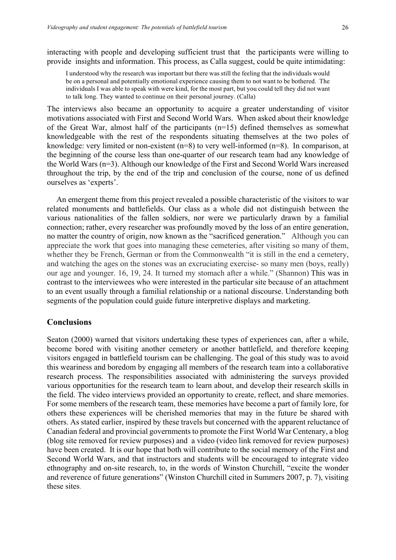interacting with people and developing sufficient trust that the participants were willing to provide insights and information. This process, as Calla suggest, could be quite intimidating:

I understood why the research was important but there was still the feeling that the individuals would be on a personal and potentially emotional experience causing them to not want to be bothered. The individuals I was able to speak with were kind, for the most part, but you could tell they did not want to talk long. They wanted to continue on their personal journey. (Calla)

The interviews also became an opportunity to acquire a greater understanding of visitor motivations associated with First and Second World Wars. When asked about their knowledge of the Great War, almost half of the participants (n=15) defined themselves as somewhat knowledgeable with the rest of the respondents situating themselves at the two poles of knowledge: very limited or non-existent (n=8) to very well-informed (n=8). In comparison, at the beginning of the course less than one-quarter of our research team had any knowledge of the World Wars (n=3). Although our knowledge of the First and Second World Wars increased throughout the trip, by the end of the trip and conclusion of the course, none of us defined ourselves as 'experts'.

An emergent theme from this project revealed a possible characteristic of the visitors to war related monuments and battlefields. Our class as a whole did not distinguish between the various nationalities of the fallen soldiers, nor were we particularly drawn by a familial connection; rather, every researcher was profoundly moved by the loss of an entire generation, no matter the country of origin, now known as the "sacrificed generation." Although you can appreciate the work that goes into managing these cemeteries, after visiting so many of them, whether they be French, German or from the Commonwealth "it is still in the end a cemetery, and watching the ages on the stones was an excruciating exercise- so many men (boys, really) our age and younger. 16, 19, 24. It turned my stomach after a while." (Shannon) This was in contrast to the interviewees who were interested in the particular site because of an attachment to an event usually through a familial relationship or a national discourse. Understanding both segments of the population could guide future interpretive displays and marketing.

### **Conclusions**

Seaton (2000) warned that visitors undertaking these types of experiences can, after a while, become bored with visiting another cemetery or another battlefield, and therefore keeping visitors engaged in battlefield tourism can be challenging. The goal of this study was to avoid this weariness and boredom by engaging all members of the research team into a collaborative research process. The responsibilities associated with administering the surveys provided various opportunities for the research team to learn about, and develop their research skills in the field. The video interviews provided an opportunity to create, reflect, and share memories. For some members of the research team, these memories have become a part of family lore, for others these experiences will be cherished memories that may in the future be shared with others. As stated earlier, inspired by these travels but concerned with the apparent reluctance of Canadian federal and provincial governments to promote the First World War Centenary, a blog (blog site removed for review purposes) and a video (video link removed for review purposes) have been created. It is our hope that both will contribute to the social memory of the First and Second World Wars, and that instructors and students will be encouraged to integrate video ethnography and on-site research, to, in the words of Winston Churchill, "excite the wonder and reverence of future generations" (Winston Churchill cited in Summers 2007, p. 7), visiting these sites.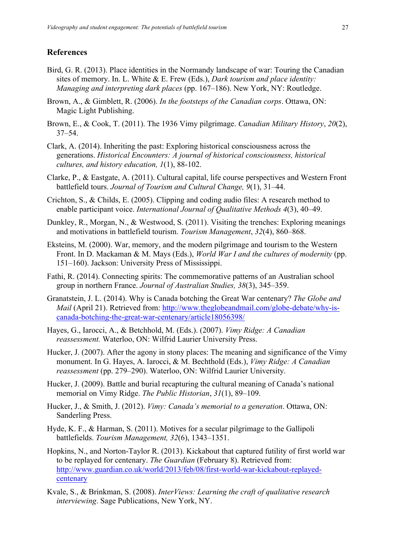## **References**

- Bird, G. R. (2013). Place identities in the Normandy landscape of war: Touring the Canadian sites of memory. In. L. White & E. Frew (Eds.), *Dark tourism and place identity: Managing and interpreting dark places* (pp. 167–186). New York, NY: Routledge.
- Brown, A., & Gimblett, R. (2006). *In the footsteps of the Canadian corps*. Ottawa, ON: Magic Light Publishing.
- Brown, E., & Cook, T. (2011). The 1936 Vimy pilgrimage. *Canadian Military History*, *20*(2), 37–54.
- Clark, A. (2014). Inheriting the past: Exploring historical consciousness across the generations. *Historical Encounters: A journal of historical consciousness, historical cultures, and history education, 1*(1), 88-102.
- Clarke, P., & Eastgate, A. (2011). Cultural capital, life course perspectives and Western Front battlefield tours. *Journal of Tourism and Cultural Change, 9*(1), 31–44.
- Crichton, S., & Childs, E. (2005). Clipping and coding audio files: A research method to enable participant voice. *International Journal of Qualitative Methods 4*(3), 40–49.
- Dunkley, R., Morgan, N., & Westwood, S. (2011). Visiting the trenches: Exploring meanings and motivations in battlefield tourism. *Tourism Management*, *32*(4), 860–868.
- Eksteins, M. (2000). War, memory, and the modern pilgrimage and tourism to the Western Front. In D. Mackaman & M. Mays (Eds.), *World War I and the cultures of modernity* (pp. 151–160). Jackson: University Press of Mississippi.
- Fathi, R. (2014). Connecting spirits: The commemorative patterns of an Australian school group in northern France. *Journal of Australian Studies, 38*(3), 345–359.
- Granatstein, J. L. (2014). Why is Canada botching the Great War centenary? *The Globe and Mail* (April 21). Retrieved from: http://www.theglobeandmail.com/globe-debate/why-iscanada-botching-the-great-war-centenary/article18056398/
- Hayes, G., Iarocci, A., & Betchhold, M. (Eds.). (2007). *Vimy Ridge: A Canadian reassessment.* Waterloo, ON: Wilfrid Laurier University Press.
- Hucker, J. (2007). After the agony in stony places: The meaning and significance of the Vimy monument. In G. Hayes, A. Iarocci, & M. Bechthold (Eds.), *Vimy Ridge: A Canadian reassessment* (pp. 279–290). Waterloo, ON: Wilfrid Laurier University.
- Hucker, J. (2009). Battle and burial recapturing the cultural meaning of Canada's national memorial on Vimy Ridge. *The Public Historian*, *31*(1), 89–109.
- Hucker, J., & Smith, J. (2012). *Vimy: Canada's memorial to a generation*. Ottawa, ON: Sanderling Press.
- Hyde, K. F., & Harman, S. (2011). Motives for a secular pilgrimage to the Gallipoli battlefields. *Tourism Management, 32*(6), 1343–1351.
- Hopkins, N., and Norton-Taylor R. (2013). Kickabout that captured futility of first world war to be replayed for centenary. *The Guardian* (February 8). Retrieved from: http://www.guardian.co.uk/world/2013/feb/08/first-world-war-kickabout-replayedcentenary
- Kvale, S., & Brinkman, S. (2008). *InterViews: Learning the craft of qualitative research interviewing*. Sage Publications, New York, NY.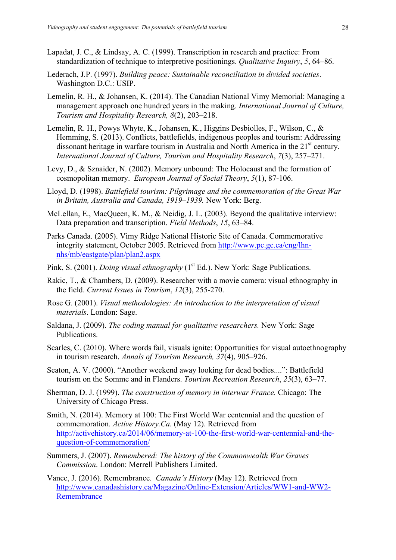- Lapadat, J. C., & Lindsay, A. C. (1999). Transcription in research and practice: From standardization of technique to interpretive positionings. *Qualitative Inquiry*, *5*, 64–86.
- Lederach, J.P. (1997). *Building peace: Sustainable reconciliation in divided societies*. Washington D.C.: USIP.
- Lemelin, R. H., & Johansen, K. (2014). The Canadian National Vimy Memorial: Managing a management approach one hundred years in the making. *International Journal of Culture, Tourism and Hospitality Research, 8*(2), 203–218.
- Lemelin, R. H., Powys Whyte, K., Johansen, K., Higgins Desbiolles, F., Wilson, C., & Hemming, S. (2013). Conflicts, battlefields, indigenous peoples and tourism: Addressing dissonant heritage in warfare tourism in Australia and North America in the  $21<sup>st</sup>$  century. *International Journal of Culture, Tourism and Hospitality Research*, *7*(3), 257–271.
- Levy, D., & Sznaider, N. (2002). Memory unbound: The Holocaust and the formation of cosmopolitan memory. *European Journal of Social Theory*, *5*(1), 87-106.
- Lloyd, D. (1998). *Battlefield tourism: Pilgrimage and the commemoration of the Great War in Britain, Australia and Canada, 1919–1939.* New York: Berg.
- McLellan, E., MacQueen, K. M., & Neidig, J. L. (2003). Beyond the qualitative interview: Data preparation and transcription. *Field Methods*, *15*, 63–84.
- Parks Canada. (2005). Vimy Ridge National Historic Site of Canada. Commemorative integrity statement, October 2005. Retrieved from http://www.pc.gc.ca/eng/lhnnhs/mb/eastgate/plan/plan2.aspx
- Pink, S. (2001). *Doing visual ethnography* (1<sup>st</sup> Ed.). New York: Sage Publications.
- Rakic, T., & Chambers, D. (2009). Researcher with a movie camera: visual ethnography in the field. *Current Issues in Tourism*, *12*(3), 255-270.
- Rose G. (2001). *Visual methodologies: An introduction to the interpretation of visual materials*. London: Sage.
- Saldana, J. (2009). *The coding manual for qualitative researchers.* New York: Sage Publications.
- Scarles, C. (2010). Where words fail, visuals ignite: Opportunities for visual autoethnography in tourism research. *Annals of Tourism Research, 37*(4), 905–926.
- Seaton, A. V. (2000). "Another weekend away looking for dead bodies....": Battlefield tourism on the Somme and in Flanders. *Tourism Recreation Research*, *25*(3), 63–77.
- Sherman, D. J. (1999). *The construction of memory in interwar France.* Chicago: The University of Chicago Press.
- Smith, N. (2014). Memory at 100: The First World War centennial and the question of commemoration. *Active History.Ca.* (May 12). Retrieved from http://activehistory.ca/2014/06/memory-at-100-the-first-world-war-centennial-and-thequestion-of-commemoration/
- Summers, J. (2007). *Remembered: The history of the Commonwealth War Graves Commission*. London: Merrell Publishers Limited.
- Vance, J. (2016). Remembrance. *Canada's History* (May 12). Retrieved from http://www.canadashistory.ca/Magazine/Online-Extension/Articles/WW1-and-WW2- Remembrance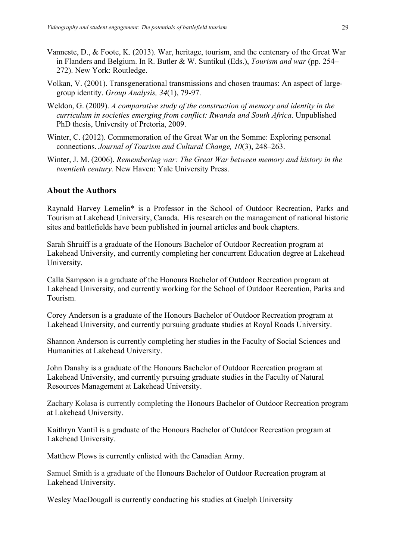- Vanneste, D., & Foote, K. (2013). War, heritage, tourism, and the centenary of the Great War in Flanders and Belgium. In R. Butler & W. Suntikul (Eds.), *Tourism and war* (pp. 254– 272). New York: Routledge.
- Volkan, V. (2001). Transgenerational transmissions and chosen traumas: An aspect of largegroup identity. *Group Analysis, 34*(1), 79-97.
- Weldon, G. (2009). *A comparative study of the construction of memory and identity in the curriculum in societies emerging from conflict: Rwanda and South Africa*. Unpublished PhD thesis, University of Pretoria, 2009.
- Winter, C. (2012). Commemoration of the Great War on the Somme: Exploring personal connections. *Journal of Tourism and Cultural Change, 10*(3), 248–263.
- Winter, J. M. (2006). *Remembering war: The Great War between memory and history in the twentieth century.* New Haven: Yale University Press.

## **About the Authors**

Raynald Harvey Lemelin\* is a Professor in the School of Outdoor Recreation, Parks and Tourism at Lakehead University, Canada. His research on the management of national historic sites and battlefields have been published in journal articles and book chapters.

Sarah Shruiff is a graduate of the Honours Bachelor of Outdoor Recreation program at Lakehead University, and currently completing her concurrent Education degree at Lakehead University.

Calla Sampson is a graduate of the Honours Bachelor of Outdoor Recreation program at Lakehead University, and currently working for the School of Outdoor Recreation, Parks and Tourism.

Corey Anderson is a graduate of the Honours Bachelor of Outdoor Recreation program at Lakehead University, and currently pursuing graduate studies at Royal Roads University.

Shannon Anderson is currently completing her studies in the Faculty of Social Sciences and Humanities at Lakehead University.

John Danahy is a graduate of the Honours Bachelor of Outdoor Recreation program at Lakehead University, and currently pursuing graduate studies in the Faculty of Natural Resources Management at Lakehead University.

Zachary Kolasa is currently completing the Honours Bachelor of Outdoor Recreation program at Lakehead University.

Kaithryn Vantil is a graduate of the Honours Bachelor of Outdoor Recreation program at Lakehead University.

Matthew Plows is currently enlisted with the Canadian Army.

Samuel Smith is a graduate of the Honours Bachelor of Outdoor Recreation program at Lakehead University.

Wesley MacDougall is currently conducting his studies at Guelph University